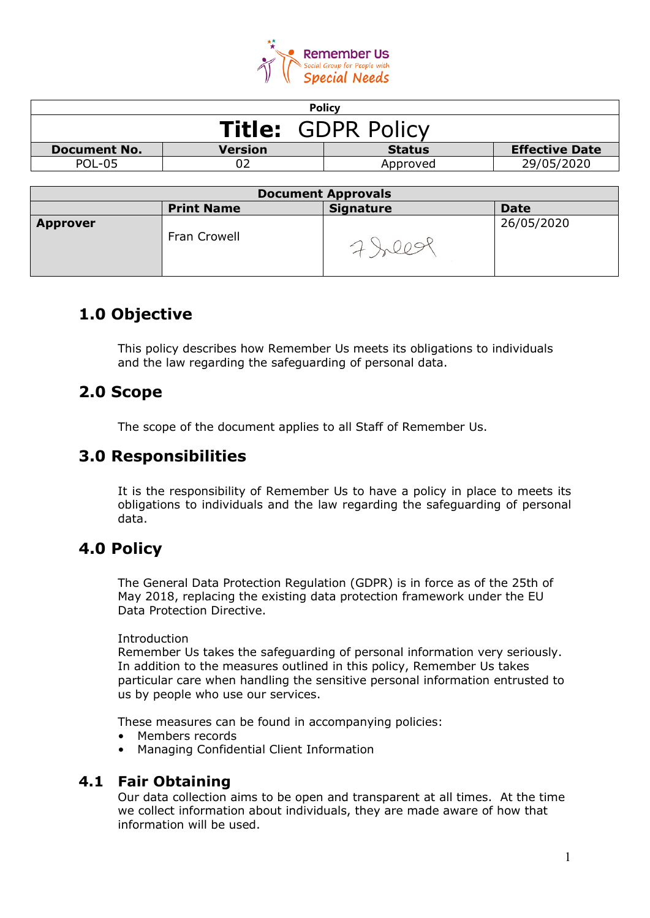

| <b>Policy</b>                                                            |  |          |            |  |
|--------------------------------------------------------------------------|--|----------|------------|--|
| <b>Title: GDPR Policy</b>                                                |  |          |            |  |
| <b>Effective Date</b><br>Version<br><b>Status</b><br><b>Document No.</b> |  |          |            |  |
| POL-05                                                                   |  | Approved | 29/05/2020 |  |
|                                                                          |  |          |            |  |

| <b>Document Approvals</b> |                   |                  |             |
|---------------------------|-------------------|------------------|-------------|
|                           | <b>Print Name</b> | <b>Signature</b> | <b>Date</b> |
| <b>Approver</b>           | Fran Crowell      |                  | 26/05/2020  |

# **1.0 Objective**

This policy describes how Remember Us meets its obligations to individuals and the law regarding the safeguarding of personal data.

# **2.0 Scope**

The scope of the document applies to all Staff of Remember Us.

# **3.0 Responsibilities**

It is the responsibility of Remember Us to have a policy in place to meets its obligations to individuals and the law regarding the safeguarding of personal data.

# **4.0 Policy**

The General Data Protection Regulation (GDPR) is in force as of the 25th of May 2018, replacing the existing data protection framework under the EU Data Protection Directive.

#### Introduction

Remember Us takes the safeguarding of personal information very seriously. In addition to the measures outlined in this policy, Remember Us takes particular care when handling the sensitive personal information entrusted to us by people who use our services.

These measures can be found in accompanying policies:

- Members records
- Managing Confidential Client Information

# **4.1 Fair Obtaining**

Our data collection aims to be open and transparent at all times. At the time we collect information about individuals, they are made aware of how that information will be used.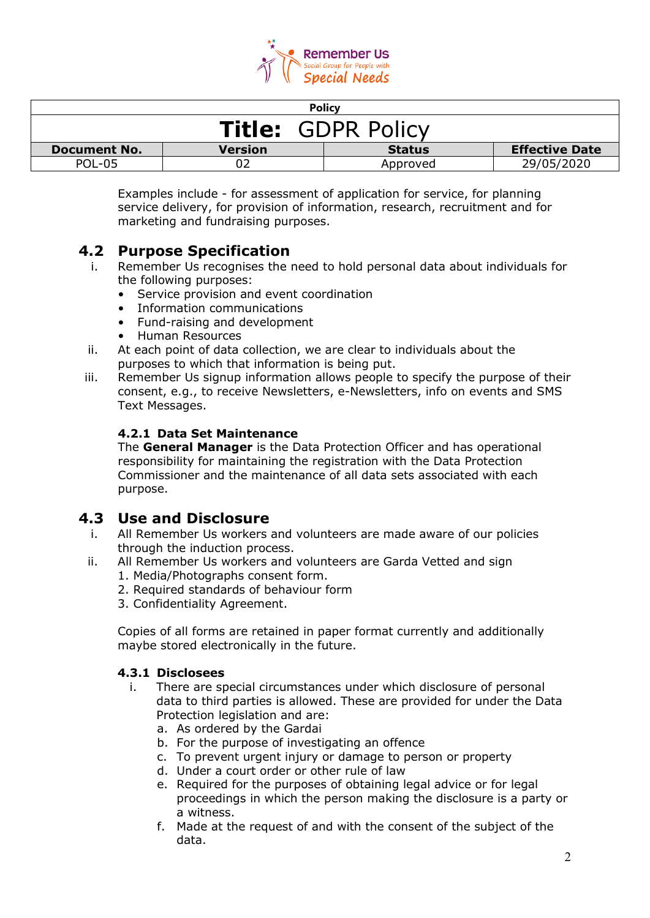

| <b>Policy</b>                                                                   |  |          |            |  |
|---------------------------------------------------------------------------------|--|----------|------------|--|
| <b>Title: GDPR Policy</b>                                                       |  |          |            |  |
| <b>Effective Date</b><br><b>Version</b><br><b>Document No.</b><br><b>Status</b> |  |          |            |  |
| <b>POL-05</b>                                                                   |  | Approved | 29/05/2020 |  |

Examples include - for assessment of application for service, for planning service delivery, for provision of information, research, recruitment and for marketing and fundraising purposes.

# **4.2 Purpose Specification**

- Remember Us recognises the need to hold personal data about individuals for the following purposes:
	- Service provision and event coordination
	- Information communications
	- Fund-raising and development
	- Human Resources
- ii. At each point of data collection, we are clear to individuals about the purposes to which that information is being put.
- iii. Remember Us signup information allows people to specify the purpose of their consent, e.g., to receive Newsletters, e-Newsletters, info on events and SMS Text Messages.

### **4.2.1 Data Set Maintenance**

The **General Manager** is the Data Protection Officer and has operational responsibility for maintaining the registration with the Data Protection Commissioner and the maintenance of all data sets associated with each purpose.

## **4.3 Use and Disclosure**

- i. All Remember Us workers and volunteers are made aware of our policies through the induction process.
- ii. All Remember Us workers and volunteers are Garda Vetted and sign
	- 1. Media/Photographs consent form.
	- 2. Required standards of behaviour form
	- 3. Confidentiality Agreement.

Copies of all forms are retained in paper format currently and additionally maybe stored electronically in the future.

#### **4.3.1 Disclosees**

- i. There are special circumstances under which disclosure of personal data to third parties is allowed. These are provided for under the Data Protection legislation and are:
	- a. As ordered by the Gardai
	- b. For the purpose of investigating an offence
	- c. To prevent urgent injury or damage to person or property
	- d. Under a court order or other rule of law
	- e. Required for the purposes of obtaining legal advice or for legal proceedings in which the person making the disclosure is a party or a witness.
	- f. Made at the request of and with the consent of the subject of the data.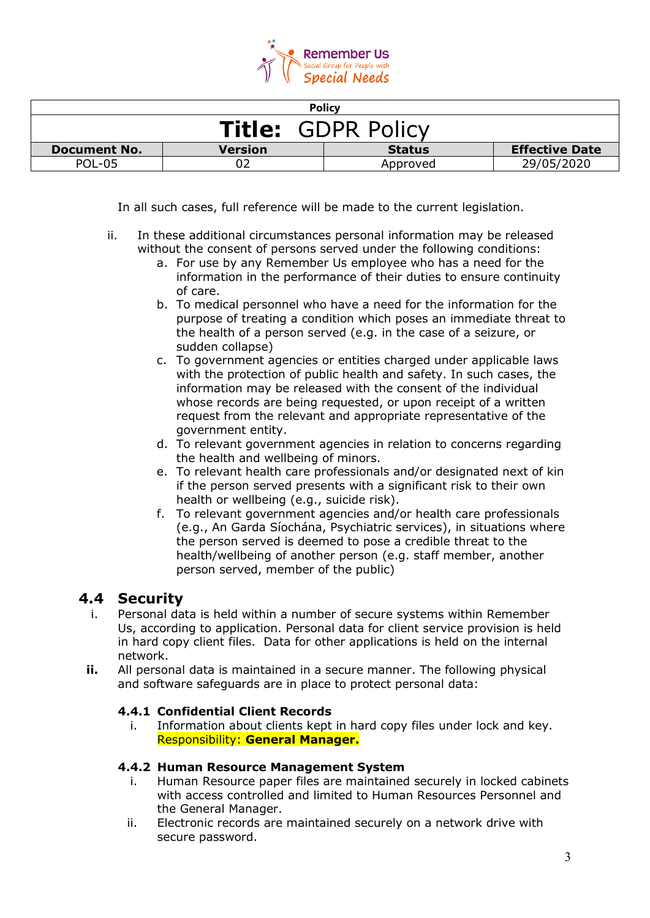

| <b>Policy</b>                                                                   |  |          |            |  |
|---------------------------------------------------------------------------------|--|----------|------------|--|
| <b>Title: GDPR Policy</b>                                                       |  |          |            |  |
| <b>Effective Date</b><br><b>Version</b><br><b>Status</b><br><b>Document No.</b> |  |          |            |  |
| POL-05                                                                          |  | Approved | 29/05/2020 |  |

In all such cases, full reference will be made to the current legislation.

- ii. In these additional circumstances personal information may be released without the consent of persons served under the following conditions:
	- a. For use by any Remember Us employee who has a need for the information in the performance of their duties to ensure continuity of care.
	- b. To medical personnel who have a need for the information for the purpose of treating a condition which poses an immediate threat to the health of a person served (e.g. in the case of a seizure, or sudden collapse)
	- c. To government agencies or entities charged under applicable laws with the protection of public health and safety. In such cases, the information may be released with the consent of the individual whose records are being requested, or upon receipt of a written request from the relevant and appropriate representative of the government entity.
	- d. To relevant government agencies in relation to concerns regarding the health and wellbeing of minors.
	- e. To relevant health care professionals and/or designated next of kin if the person served presents with a significant risk to their own health or wellbeing (e.g., suicide risk).
	- f. To relevant government agencies and/or health care professionals (e.g., An Garda Síochána, Psychiatric services), in situations where the person served is deemed to pose a credible threat to the health/wellbeing of another person (e.g. staff member, another person served, member of the public)

# **4.4 Security**

- i. Personal data is held within a number of secure systems within Remember Us, according to application. Personal data for client service provision is held in hard copy client files. Data for other applications is held on the internal network.
- **ii.** All personal data is maintained in a secure manner. The following physical and software safeguards are in place to protect personal data:

### **4.4.1 Confidential Client Records**

i. Information about clients kept in hard copy files under lock and key. Responsibility: **General Manager.**

#### **4.4.2 Human Resource Management System**

- i. Human Resource paper files are maintained securely in locked cabinets with access controlled and limited to Human Resources Personnel and the General Manager.
- ii. Electronic records are maintained securely on a network drive with secure password.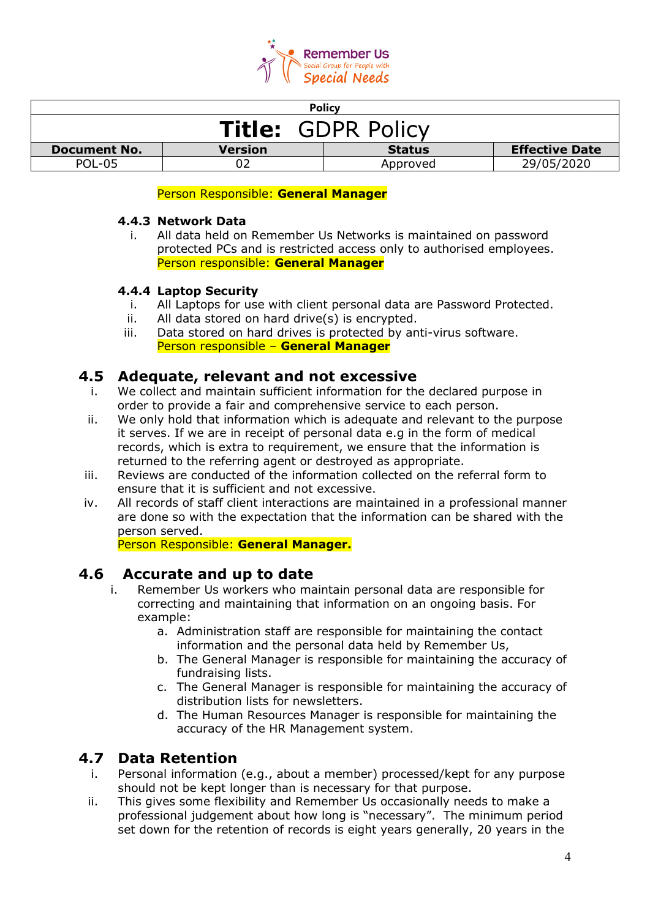

| <b>Policy</b>                                                                   |  |          |            |  |
|---------------------------------------------------------------------------------|--|----------|------------|--|
| <b>Title: GDPR Policy</b>                                                       |  |          |            |  |
| <b>Effective Date</b><br><b>Version</b><br><b>Status</b><br><b>Document No.</b> |  |          |            |  |
| <b>POL-05</b>                                                                   |  | Approved | 29/05/2020 |  |

#### Person Responsible: **General Manager**

#### **4.4.3 Network Data**

i. All data held on Remember Us Networks is maintained on password protected PCs and is restricted access only to authorised employees. Person responsible: **General Manager**

#### **4.4.4 Laptop Security**

- i. All Laptops for use with client personal data are Password Protected.
- ii. All data stored on hard drive(s) is encrypted.
- iii. Data stored on hard drives is protected by anti-virus software. Person responsible – **General Manager**

## **4.5 Adequate, relevant and not excessive**

- i. We collect and maintain sufficient information for the declared purpose in order to provide a fair and comprehensive service to each person.
- ii. We only hold that information which is adequate and relevant to the purpose it serves. If we are in receipt of personal data e.g in the form of medical records, which is extra to requirement, we ensure that the information is returned to the referring agent or destroyed as appropriate.
- iii. Reviews are conducted of the information collected on the referral form to ensure that it is sufficient and not excessive.
- iv. All records of staff client interactions are maintained in a professional manner are done so with the expectation that the information can be shared with the person served.

Person Responsible: **General Manager.**

## **4.6 Accurate and up to date**

- i. Remember Us workers who maintain personal data are responsible for correcting and maintaining that information on an ongoing basis. For example:
	- a. Administration staff are responsible for maintaining the contact information and the personal data held by Remember Us,
	- b. The General Manager is responsible for maintaining the accuracy of fundraising lists.
	- c. The General Manager is responsible for maintaining the accuracy of distribution lists for newsletters.
	- d. The Human Resources Manager is responsible for maintaining the accuracy of the HR Management system.

## **4.7 Data Retention**

- i. Personal information (e.g., about a member) processed/kept for any purpose should not be kept longer than is necessary for that purpose.
- ii. This gives some flexibility and Remember Us occasionally needs to make a professional judgement about how long is "necessary". The minimum period set down for the retention of records is eight years generally, 20 years in the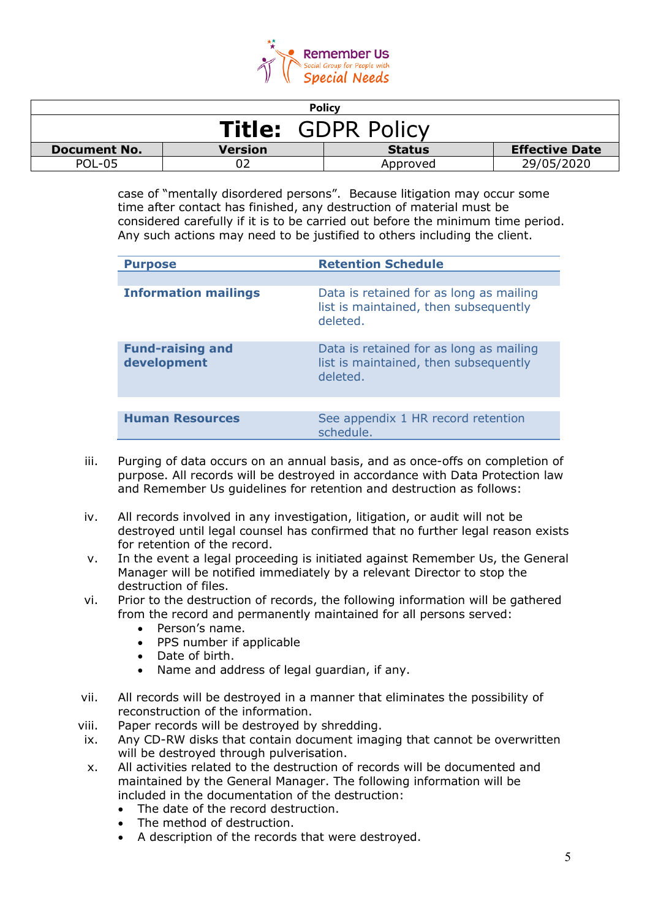

| <b>Policy</b>                                                                   |  |          |            |  |
|---------------------------------------------------------------------------------|--|----------|------------|--|
| <b>Title: GDPR Policy</b>                                                       |  |          |            |  |
| <b>Effective Date</b><br><b>Version</b><br><b>Status</b><br><b>Document No.</b> |  |          |            |  |
| <b>POL-05</b>                                                                   |  | Approved | 29/05/2020 |  |

case of "mentally disordered persons". Because litigation may occur some time after contact has finished, any destruction of material must be considered carefully if it is to be carried out before the minimum time period. Any such actions may need to be justified to others including the client.

| <b>Purpose</b>                         | <b>Retention Schedule</b>                                                                    |
|----------------------------------------|----------------------------------------------------------------------------------------------|
|                                        |                                                                                              |
| <b>Information mailings</b>            | Data is retained for as long as mailing<br>list is maintained, then subsequently<br>deleted. |
| <b>Fund-raising and</b><br>development | Data is retained for as long as mailing<br>list is maintained, then subsequently<br>deleted. |
|                                        |                                                                                              |
| <b>Human Resources</b>                 | See appendix 1 HR record retention<br>schedule.                                              |

- iii. Purging of data occurs on an annual basis, and as once-offs on completion of purpose. All records will be destroyed in accordance with Data Protection law and Remember Us guidelines for retention and destruction as follows:
- iv. All records involved in any investigation, litigation, or audit will not be destroyed until legal counsel has confirmed that no further legal reason exists for retention of the record.
- v. In the event a legal proceeding is initiated against Remember Us, the General Manager will be notified immediately by a relevant Director to stop the destruction of files.
- vi. Prior to the destruction of records, the following information will be gathered from the record and permanently maintained for all persons served:
	- Person's name.
	- PPS number if applicable
	- Date of birth.
	- Name and address of legal guardian, if any.
- vii. All records will be destroyed in a manner that eliminates the possibility of reconstruction of the information.
- viii. Paper records will be destroyed by shredding.
- ix. Any CD-RW disks that contain document imaging that cannot be overwritten will be destroyed through pulverisation.
- x. All activities related to the destruction of records will be documented and maintained by the General Manager. The following information will be included in the documentation of the destruction:
	- The date of the record destruction.
	- The method of destruction.
	- A description of the records that were destroyed.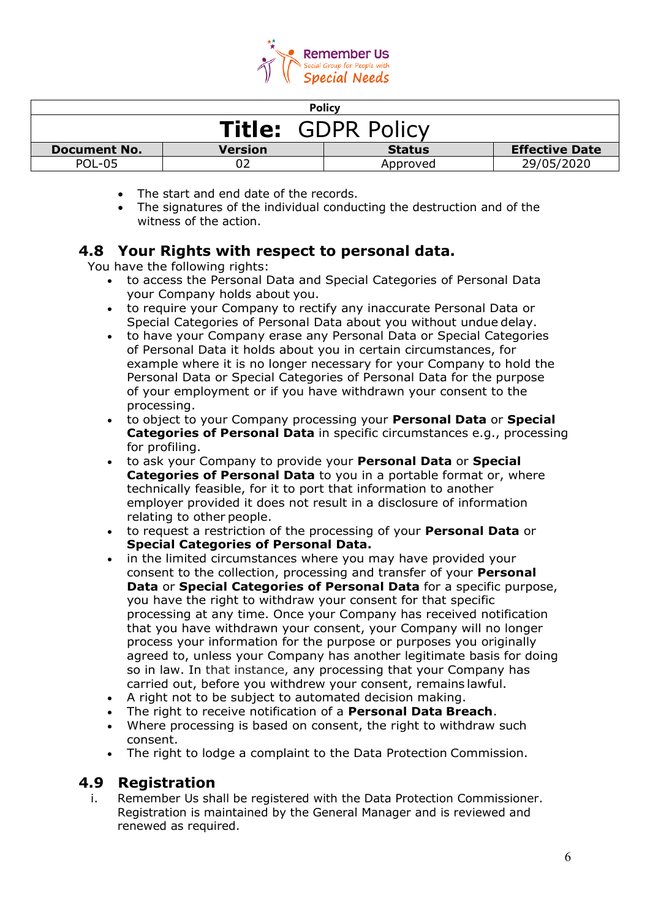

| <b>Policy</b>                                                                   |  |          |            |  |
|---------------------------------------------------------------------------------|--|----------|------------|--|
| <b>Title: GDPR Policy</b>                                                       |  |          |            |  |
| <b>Effective Date</b><br><b>Version</b><br><b>Status</b><br><b>Document No.</b> |  |          |            |  |
| POL-05                                                                          |  | Approved | 29/05/2020 |  |

- The start and end date of the records.
- The signatures of the individual conducting the destruction and of the witness of the action.

## **4.8 Your Rights with respect to personal data.**

You have the following rights:

- to access the Personal Data and Special Categories of Personal Data your Company holds about you.
- to require your Company to rectify any inaccurate Personal Data or Special Categories of Personal Data about you without undue delay.
- to have your Company erase any Personal Data or Special Categories of Personal Data it holds about you in certain circumstances, for example where it is no longer necessary for your Company to hold the Personal Data or Special Categories of Personal Data for the purpose of your employment or if you have withdrawn your consent to the processing.
- to object to your Company processing your **Personal Data** or **Special Categories of Personal Data** in specific circumstances e.g., processing for profiling.
- to ask your Company to provide your **Personal Data** or **Special Categories of Personal Data** to you in a portable format or, where technically feasible, for it to port that information to another employer provided it does not result in a disclosure of information relating to other people.
- to request a restriction of the processing of your **Personal Data** or **Special Categories of Personal Data.**
- in the limited circumstances where you may have provided your consent to the collection, processing and transfer of your **Personal Data** or **Special Categories of Personal Data** for a specific purpose, you have the right to withdraw your consent for that specific processing at any time. Once your Company has received notification that you have withdrawn your consent, your Company will no longer process your information for the purpose or purposes you originally agreed to, unless your Company has another legitimate basis for doing so in law. In that instance, any processing that your Company has carried out, before you withdrew your consent, remains lawful.
- A right not to be subject to automated decision making.
- The right to receive notification of a **Personal Data Breach**.
- Where processing is based on consent, the right to withdraw such consent.
- The right to lodge a complaint to the Data Protection Commission.

### **4.9 Registration**

i. Remember Us shall be registered with the Data Protection Commissioner. Registration is maintained by the General Manager and is reviewed and renewed as required.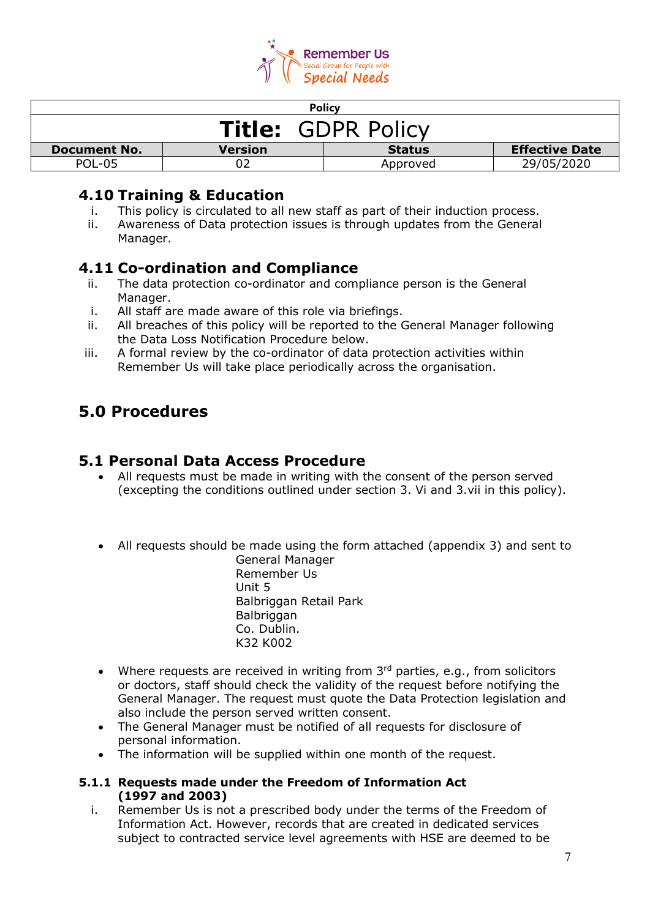

| <b>Policy</b>                                                                   |  |          |            |  |
|---------------------------------------------------------------------------------|--|----------|------------|--|
| <b>Title: GDPR Policy</b>                                                       |  |          |            |  |
| <b>Effective Date</b><br><b>Status</b><br><b>Document No.</b><br><b>Version</b> |  |          |            |  |
| <b>POL-05</b>                                                                   |  | Approved | 29/05/2020 |  |

## **4.10 Training & Education**

- This policy is circulated to all new staff as part of their induction process.
- ii. Awareness of Data protection issues is through updates from the General Manager.

# **4.11 Co-ordination and Compliance**

- ii. The data protection co-ordinator and compliance person is the General Manager.
- i. All staff are made aware of this role via briefings.
- ii. All breaches of this policy will be reported to the General Manager following the Data Loss Notification Procedure below.
- iii. A formal review by the co-ordinator of data protection activities within Remember Us will take place periodically across the organisation.

# **5.0 Procedures**

## **5.1 Personal Data Access Procedure**

- All requests must be made in writing with the consent of the person served (excepting the conditions outlined under section 3. Vi and 3.vii in this policy).
- All requests should be made using the form attached (appendix 3) and sent to General Manager

Remember Us Unit 5 Balbriggan Retail Park **Balbriggan** Co. Dublin. K32 K002

- Where requests are received in writing from  $3<sup>rd</sup>$  parties, e.g., from solicitors or doctors, staff should check the validity of the request before notifying the General Manager. The request must quote the Data Protection legislation and also include the person served written consent.
- The General Manager must be notified of all requests for disclosure of personal information.
- The information will be supplied within one month of the request.

#### **5.1.1 Requests made under the Freedom of Information Act (1997 and 2003)**

i. Remember Us is not a prescribed body under the terms of the Freedom of Information Act. However, records that are created in dedicated services subject to contracted service level agreements with HSE are deemed to be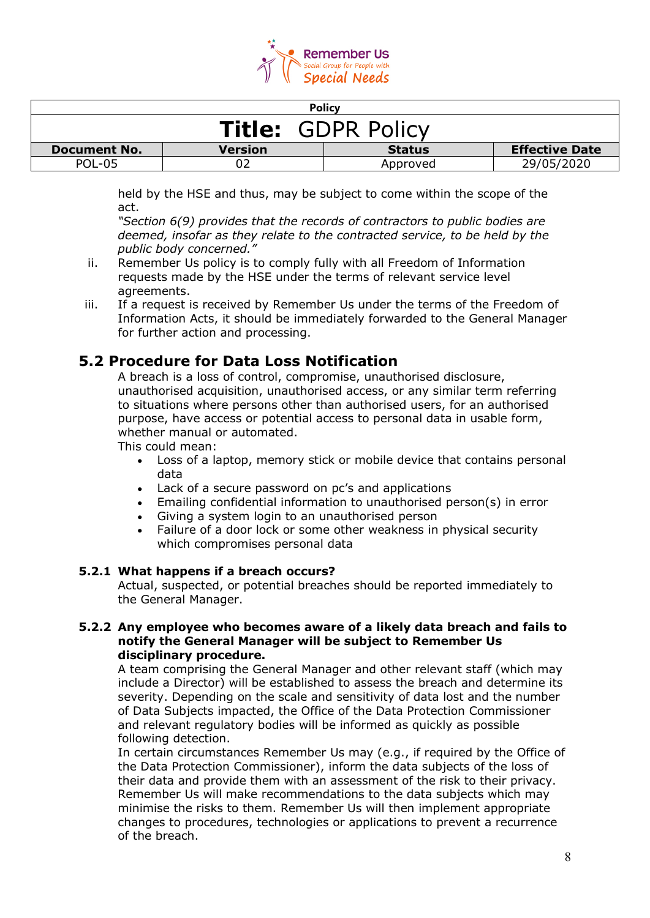

| <b>Policy</b>                                                                   |  |          |            |  |
|---------------------------------------------------------------------------------|--|----------|------------|--|
| <b>Title: GDPR Policy</b>                                                       |  |          |            |  |
| <b>Effective Date</b><br><b>Status</b><br><b>Document No.</b><br><b>Version</b> |  |          |            |  |
| POL-05                                                                          |  | Approved | 29/05/2020 |  |

held by the HSE and thus, may be subject to come within the scope of the act.

*"Section 6(9) provides that the records of contractors to public bodies are deemed, insofar as they relate to the contracted service, to be held by the public body concerned."*

- ii. Remember Us policy is to comply fully with all Freedom of Information requests made by the HSE under the terms of relevant service level agreements.
- iii. If a request is received by Remember Us under the terms of the Freedom of Information Acts, it should be immediately forwarded to the General Manager for further action and processing.

# **5.2 Procedure for Data Loss Notification**

A breach is a loss of control, compromise, unauthorised disclosure, unauthorised acquisition, unauthorised access, or any similar term referring to situations where persons other than authorised users, for an authorised purpose, have access or potential access to personal data in usable form, whether manual or automated.

This could mean:

- Loss of a laptop, memory stick or mobile device that contains personal data
- Lack of a secure password on pc's and applications
- Emailing confidential information to unauthorised person(s) in error
- Giving a system login to an unauthorised person
- Failure of a door lock or some other weakness in physical security which compromises personal data

#### **5.2.1 What happens if a breach occurs?**

Actual, suspected, or potential breaches should be reported immediately to the General Manager.

#### **5.2.2 Any employee who becomes aware of a likely data breach and fails to notify the General Manager will be subject to Remember Us disciplinary procedure.**

A team comprising the General Manager and other relevant staff (which may include a Director) will be established to assess the breach and determine its severity. Depending on the scale and sensitivity of data lost and the number of Data Subjects impacted, the Office of the Data Protection Commissioner and relevant regulatory bodies will be informed as quickly as possible following detection.

In certain circumstances Remember Us may (e.g., if required by the Office of the Data Protection Commissioner), inform the data subjects of the loss of their data and provide them with an assessment of the risk to their privacy. Remember Us will make recommendations to the data subjects which may minimise the risks to them. Remember Us will then implement appropriate changes to procedures, technologies or applications to prevent a recurrence of the breach.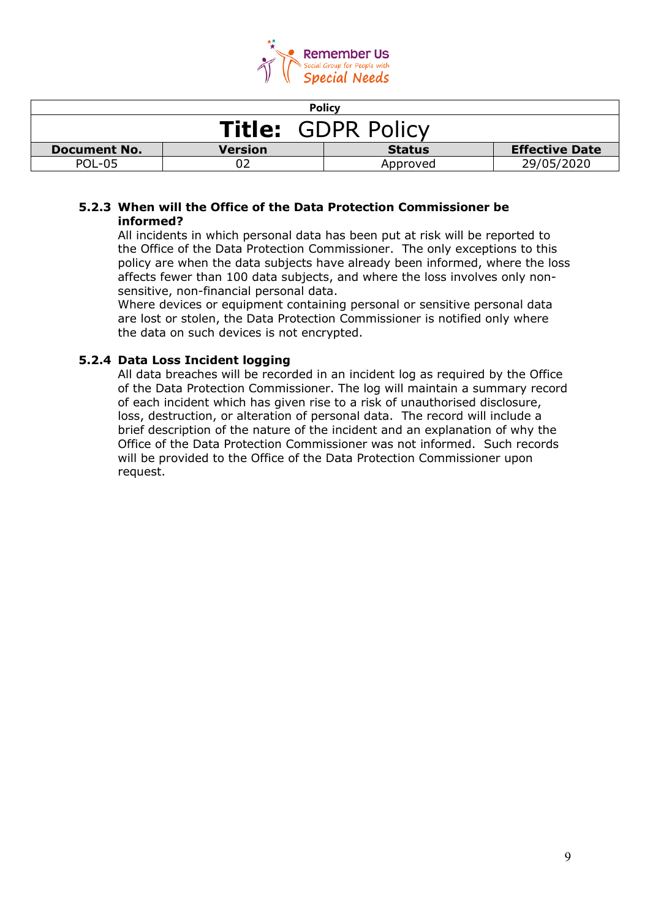

| <b>Policy</b>                                                                   |  |          |            |  |
|---------------------------------------------------------------------------------|--|----------|------------|--|
| <b>Title: GDPR Policy</b>                                                       |  |          |            |  |
| <b>Effective Date</b><br><b>Document No.</b><br><b>Version</b><br><b>Status</b> |  |          |            |  |
| <b>POL-05</b>                                                                   |  | Approved | 29/05/2020 |  |

#### **5.2.3 When will the Office of the Data Protection Commissioner be informed?**

All incidents in which personal data has been put at risk will be reported to the Office of the Data Protection Commissioner. The only exceptions to this policy are when the data subjects have already been informed, where the loss affects fewer than 100 data subjects, and where the loss involves only nonsensitive, non-financial personal data.

Where devices or equipment containing personal or sensitive personal data are lost or stolen, the Data Protection Commissioner is notified only where the data on such devices is not encrypted.

### **5.2.4 Data Loss Incident logging**

All data breaches will be recorded in an incident log as required by the Office of the Data Protection Commissioner. The log will maintain a summary record of each incident which has given rise to a risk of unauthorised disclosure, loss, destruction, or alteration of personal data. The record will include a brief description of the nature of the incident and an explanation of why the Office of the Data Protection Commissioner was not informed. Such records will be provided to the Office of the Data Protection Commissioner upon request.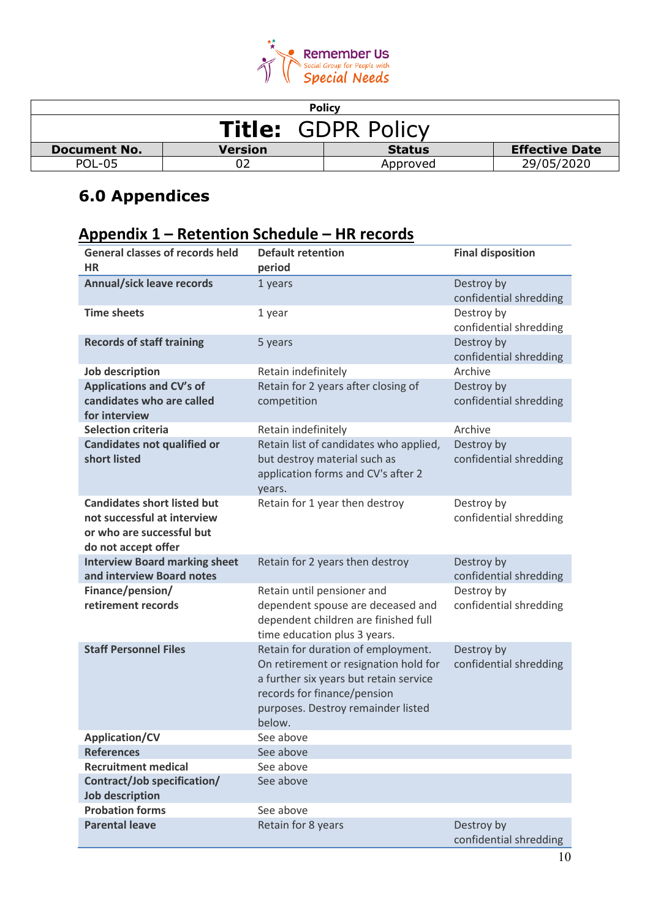

| <b>Policy</b>                                                                   |  |          |            |  |
|---------------------------------------------------------------------------------|--|----------|------------|--|
| <b>Title: GDPR Policy</b>                                                       |  |          |            |  |
| <b>Effective Date</b><br><b>Version</b><br><b>Status</b><br><b>Document No.</b> |  |          |            |  |
| POL-05                                                                          |  | Approved | 29/05/2020 |  |

# **6.0 Appendices**

# **Appendix 1 – Retention Schedule – HR records**

| <b>General classes of records held</b>                                                                                | <b>Default retention</b>                                                                                                                                                                             | <b>Final disposition</b>             |
|-----------------------------------------------------------------------------------------------------------------------|------------------------------------------------------------------------------------------------------------------------------------------------------------------------------------------------------|--------------------------------------|
| <b>HR</b>                                                                                                             | period                                                                                                                                                                                               |                                      |
| <b>Annual/sick leave records</b>                                                                                      | 1 years                                                                                                                                                                                              | Destroy by<br>confidential shredding |
| <b>Time sheets</b>                                                                                                    | 1 year                                                                                                                                                                                               | Destroy by<br>confidential shredding |
| <b>Records of staff training</b>                                                                                      | 5 years                                                                                                                                                                                              | Destroy by<br>confidential shredding |
| Job description                                                                                                       | Retain indefinitely                                                                                                                                                                                  | Archive                              |
| <b>Applications and CV's of</b><br>candidates who are called                                                          | Retain for 2 years after closing of<br>competition                                                                                                                                                   | Destroy by<br>confidential shredding |
| for interview                                                                                                         |                                                                                                                                                                                                      |                                      |
| <b>Selection criteria</b>                                                                                             | Retain indefinitely                                                                                                                                                                                  | Archive                              |
| <b>Candidates not qualified or</b><br>short listed                                                                    | Retain list of candidates who applied,<br>but destroy material such as<br>application forms and CV's after 2<br>years.                                                                               | Destroy by<br>confidential shredding |
| <b>Candidates short listed but</b><br>not successful at interview<br>or who are successful but<br>do not accept offer | Retain for 1 year then destroy                                                                                                                                                                       | Destroy by<br>confidential shredding |
| <b>Interview Board marking sheet</b><br>and interview Board notes                                                     | Retain for 2 years then destroy                                                                                                                                                                      | Destroy by<br>confidential shredding |
| Finance/pension/<br>retirement records                                                                                | Retain until pensioner and<br>dependent spouse are deceased and<br>dependent children are finished full<br>time education plus 3 years.                                                              | Destroy by<br>confidential shredding |
| <b>Staff Personnel Files</b>                                                                                          | Retain for duration of employment.<br>On retirement or resignation hold for<br>a further six years but retain service<br>records for finance/pension<br>purposes. Destroy remainder listed<br>below. | Destroy by<br>confidential shredding |
| <b>Application/CV</b>                                                                                                 | See above                                                                                                                                                                                            |                                      |
| <b>References</b>                                                                                                     | See above                                                                                                                                                                                            |                                      |
| <b>Recruitment medical</b>                                                                                            | See above                                                                                                                                                                                            |                                      |
| Contract/Job specification/<br><b>Job description</b>                                                                 | See above                                                                                                                                                                                            |                                      |
| <b>Probation forms</b>                                                                                                | See above                                                                                                                                                                                            |                                      |
| <b>Parental leave</b>                                                                                                 | Retain for 8 years                                                                                                                                                                                   | Destroy by<br>confidential shredding |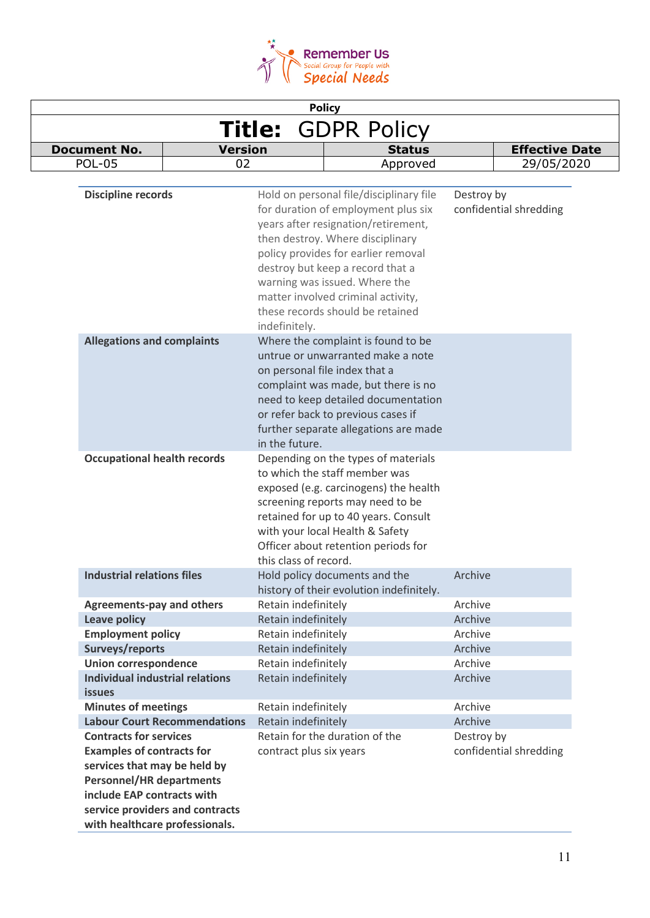

| <b>Policy</b>                                                                                                                        |                         |                                                                                                                                                                                                                                                                                                                                                 |                                      |
|--------------------------------------------------------------------------------------------------------------------------------------|-------------------------|-------------------------------------------------------------------------------------------------------------------------------------------------------------------------------------------------------------------------------------------------------------------------------------------------------------------------------------------------|--------------------------------------|
| <b>GDPR Policy</b><br><b>Title:</b>                                                                                                  |                         |                                                                                                                                                                                                                                                                                                                                                 |                                      |
| <b>Document No.</b>                                                                                                                  | <b>Version</b>          | <b>Status</b>                                                                                                                                                                                                                                                                                                                                   | <b>Effective Date</b>                |
| <b>POL-05</b>                                                                                                                        | 02                      | Approved                                                                                                                                                                                                                                                                                                                                        | 29/05/2020                           |
|                                                                                                                                      |                         |                                                                                                                                                                                                                                                                                                                                                 |                                      |
| <b>Discipline records</b>                                                                                                            | indefinitely.           | Hold on personal file/disciplinary file<br>for duration of employment plus six<br>years after resignation/retirement,<br>then destroy. Where disciplinary<br>policy provides for earlier removal<br>destroy but keep a record that a<br>warning was issued. Where the<br>matter involved criminal activity,<br>these records should be retained | Destroy by<br>confidential shredding |
| <b>Allegations and complaints</b>                                                                                                    | in the future.          | Where the complaint is found to be<br>untrue or unwarranted make a note<br>on personal file index that a<br>complaint was made, but there is no<br>need to keep detailed documentation<br>or refer back to previous cases if<br>further separate allegations are made                                                                           |                                      |
| <b>Occupational health records</b>                                                                                                   | this class of record.   | Depending on the types of materials<br>to which the staff member was<br>exposed (e.g. carcinogens) the health<br>screening reports may need to be<br>retained for up to 40 years. Consult<br>with your local Health & Safety<br>Officer about retention periods for                                                                             |                                      |
| <b>Industrial relations files</b>                                                                                                    |                         | Hold policy documents and the<br>history of their evolution indefinitely.                                                                                                                                                                                                                                                                       | Archive                              |
| <b>Agreements-pay and others</b>                                                                                                     | Retain indefinitely     |                                                                                                                                                                                                                                                                                                                                                 | Archive                              |
| <b>Leave policy</b>                                                                                                                  | Retain indefinitely     |                                                                                                                                                                                                                                                                                                                                                 | Archive                              |
| <b>Employment policy</b>                                                                                                             | Retain indefinitely     |                                                                                                                                                                                                                                                                                                                                                 | Archive                              |
| Surveys/reports                                                                                                                      | Retain indefinitely     |                                                                                                                                                                                                                                                                                                                                                 | Archive                              |
| <b>Union correspondence</b>                                                                                                          | Retain indefinitely     |                                                                                                                                                                                                                                                                                                                                                 | Archive                              |
| <b>Individual industrial relations</b><br><b>issues</b>                                                                              | Retain indefinitely     |                                                                                                                                                                                                                                                                                                                                                 | Archive                              |
| <b>Minutes of meetings</b>                                                                                                           | Retain indefinitely     |                                                                                                                                                                                                                                                                                                                                                 | Archive                              |
| <b>Labour Court Recommendations</b>                                                                                                  | Retain indefinitely     |                                                                                                                                                                                                                                                                                                                                                 | Archive                              |
| <b>Contracts for services</b><br><b>Examples of contracts for</b><br>services that may be held by<br><b>Personnel/HR departments</b> | contract plus six years | Retain for the duration of the                                                                                                                                                                                                                                                                                                                  | Destroy by<br>confidential shredding |
| include EAP contracts with<br>service providers and contracts<br>with healthcare professionals.                                      |                         |                                                                                                                                                                                                                                                                                                                                                 |                                      |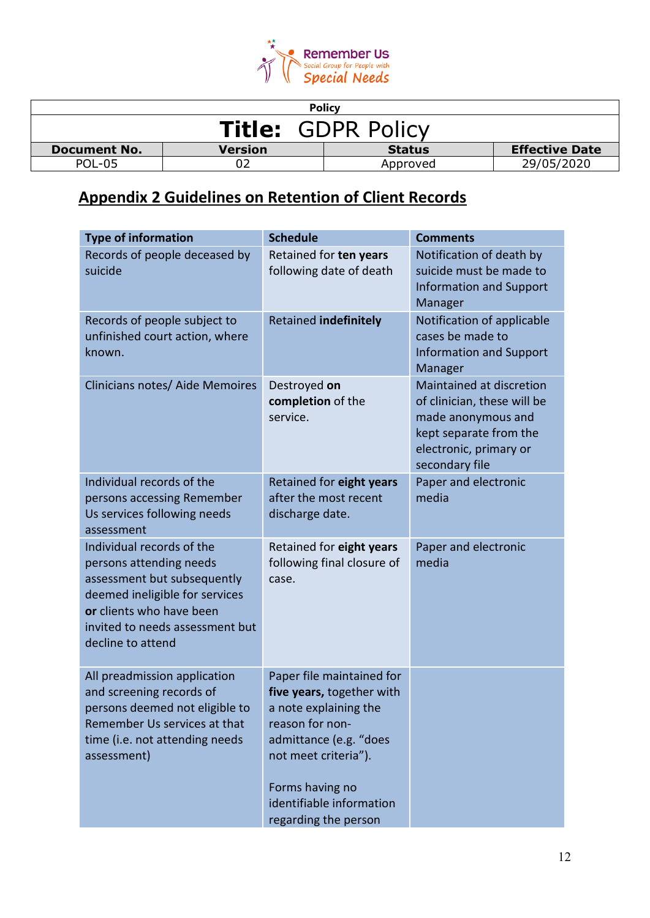

| <b>Policy</b>             |         |               |                       |
|---------------------------|---------|---------------|-----------------------|
| <b>Title: GDPR Policy</b> |         |               |                       |
| <b>Document No.</b>       | Version | <b>Status</b> | <b>Effective Date</b> |
| <b>POL-05</b>             |         | Approved      | 29/05/2020            |

# **Appendix 2 Guidelines on Retention of Client Records**

| <b>Type of information</b>                                                                                                                                                                                | <b>Schedule</b>                                                                                                                                                                                                             | <b>Comments</b>                                                                                                                                     |
|-----------------------------------------------------------------------------------------------------------------------------------------------------------------------------------------------------------|-----------------------------------------------------------------------------------------------------------------------------------------------------------------------------------------------------------------------------|-----------------------------------------------------------------------------------------------------------------------------------------------------|
| Records of people deceased by<br>suicide                                                                                                                                                                  | Retained for ten years<br>following date of death                                                                                                                                                                           | Notification of death by<br>suicide must be made to<br><b>Information and Support</b><br>Manager                                                    |
| Records of people subject to<br>unfinished court action, where<br>known.                                                                                                                                  | Retained indefinitely                                                                                                                                                                                                       | Notification of applicable<br>cases be made to<br><b>Information and Support</b><br>Manager                                                         |
| Clinicians notes/ Aide Memoires                                                                                                                                                                           | Destroyed on<br>completion of the<br>service.                                                                                                                                                                               | Maintained at discretion<br>of clinician, these will be<br>made anonymous and<br>kept separate from the<br>electronic, primary or<br>secondary file |
| Individual records of the<br>persons accessing Remember<br>Us services following needs<br>assessment                                                                                                      | Retained for eight years<br>after the most recent<br>discharge date.                                                                                                                                                        | Paper and electronic<br>media                                                                                                                       |
| Individual records of the<br>persons attending needs<br>assessment but subsequently<br>deemed ineligible for services<br>or clients who have been<br>invited to needs assessment but<br>decline to attend | Retained for eight years<br>following final closure of<br>case.                                                                                                                                                             | Paper and electronic<br>media                                                                                                                       |
| All preadmission application<br>and screening records of<br>persons deemed not eligible to<br>Remember Us services at that<br>time (i.e. not attending needs<br>assessment)                               | Paper file maintained for<br>five years, together with<br>a note explaining the<br>reason for non-<br>admittance (e.g. "does<br>not meet criteria").<br>Forms having no<br>identifiable information<br>regarding the person |                                                                                                                                                     |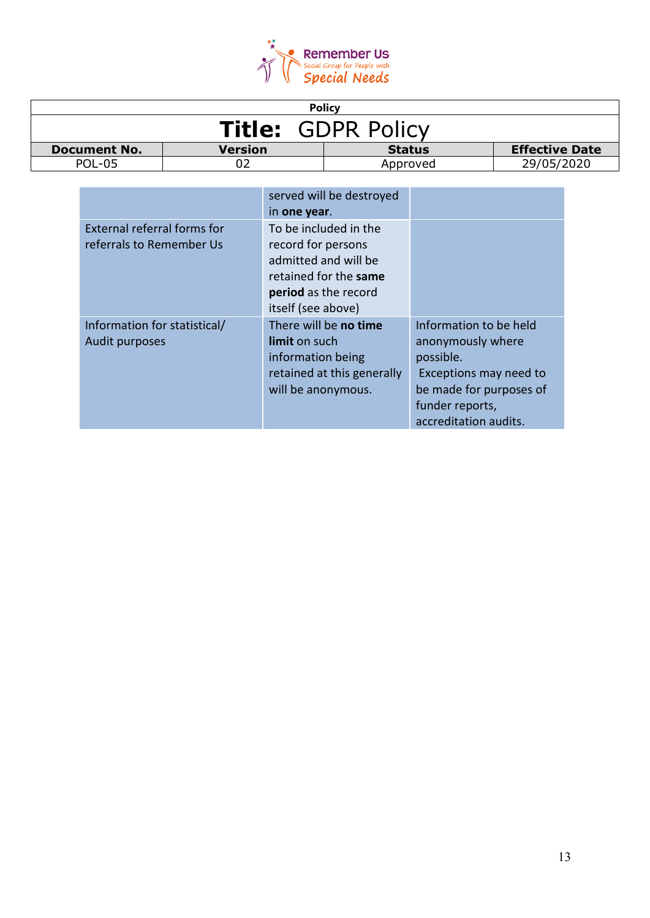

|                           |                | <b>Policy</b> |                       |
|---------------------------|----------------|---------------|-----------------------|
| <b>Title: GDPR Policy</b> |                |               |                       |
| <b>Document No.</b>       | <b>Version</b> | <b>Status</b> | <b>Effective Date</b> |
| POL-05                    |                | Approved      | 29/05/2020            |

|                                                                | served will be destroyed<br>in one year.                                                                                                   |                                                                                                                                                           |
|----------------------------------------------------------------|--------------------------------------------------------------------------------------------------------------------------------------------|-----------------------------------------------------------------------------------------------------------------------------------------------------------|
| <b>External referral forms for</b><br>referrals to Remember Us | To be included in the<br>record for persons<br>admitted and will be<br>retained for the same<br>period as the record<br>itself (see above) |                                                                                                                                                           |
| Information for statistical/<br>Audit purposes                 | There will be no time<br>limit on such<br>information being<br>retained at this generally<br>will be anonymous.                            | Information to be held<br>anonymously where<br>possible.<br>Exceptions may need to<br>be made for purposes of<br>funder reports,<br>accreditation audits. |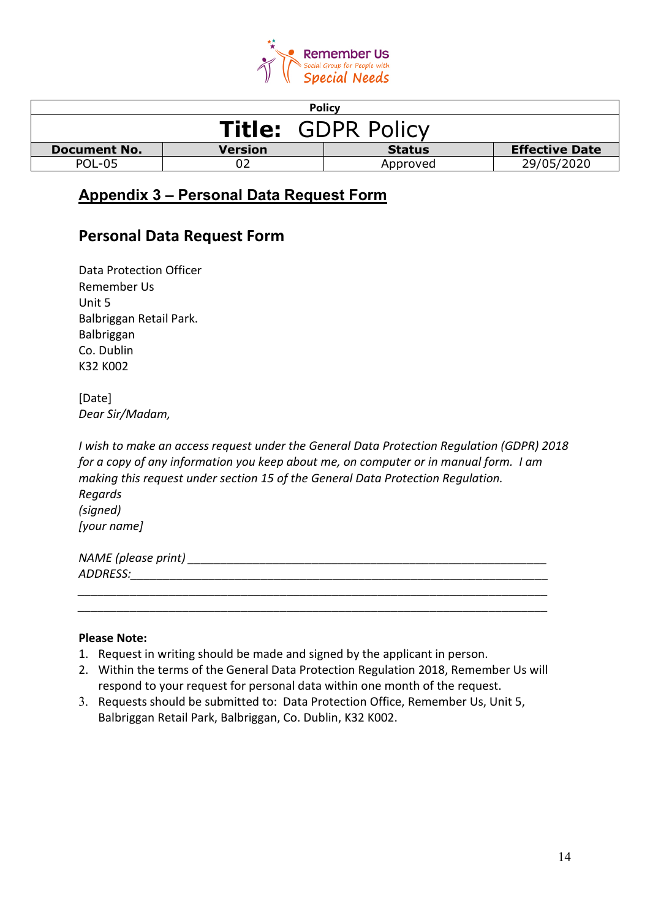

| <b>Policy</b>             |                |               |                       |
|---------------------------|----------------|---------------|-----------------------|
| <b>Title: GDPR Policy</b> |                |               |                       |
| <b>Document No.</b>       | <b>Version</b> | <b>Status</b> | <b>Effective Date</b> |
| POL-05                    |                | Approved      | 29/05/2020            |

# **Appendix 3 – Personal Data Request Form**

# **Personal Data Request Form**

| Data Protection Officer |
|-------------------------|
| Remember Us             |
| Unit 5                  |
| Balbriggan Retail Park. |
| <b>Balbriggan</b>       |
| Co. Dublin              |
| K32 K002                |

[Date] *Dear Sir/Madam,*

*I wish to make an access request under the General Data Protection Regulation (GDPR) 2018 for a copy of any information you keep about me, on computer or in manual form. I am making this request under section 15 of the General Data Protection Regulation. Regards (signed) [your name]*

| NAME (please print) |  |  |
|---------------------|--|--|
| ADDRESS:            |  |  |
|                     |  |  |

*\_\_\_\_\_\_\_\_\_\_\_\_\_\_\_\_\_\_\_\_\_\_\_\_\_\_\_\_\_\_\_\_\_\_\_\_\_\_\_\_\_\_\_\_\_\_\_\_\_\_\_\_\_\_\_\_\_\_\_\_\_\_\_\_\_\_\_\_\_\_\_\_*

#### **Please Note:**

- 1. Request in writing should be made and signed by the applicant in person.
- 2. Within the terms of the General Data Protection Regulation 2018, Remember Us will respond to your request for personal data within one month of the request.
- 3. Requests should be submitted to: Data Protection Office, Remember Us, Unit 5, Balbriggan Retail Park, Balbriggan, Co. Dublin, K32 K002.